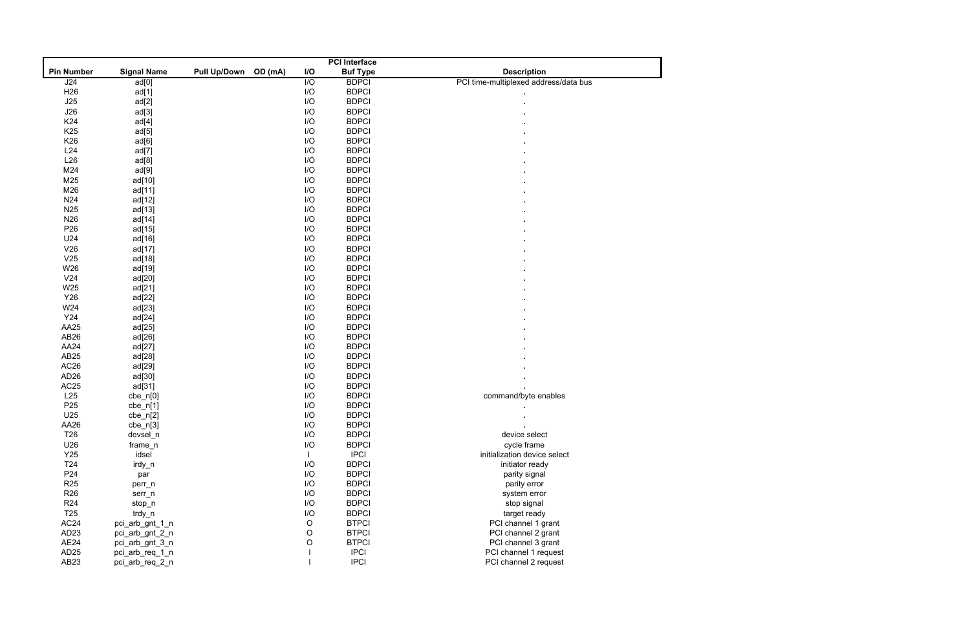|                   | <b>PCI</b> Interface |                     |         |                  |                 |                                       |  |
|-------------------|----------------------|---------------------|---------|------------------|-----------------|---------------------------------------|--|
| <b>Pin Number</b> | <b>Signal Name</b>   | <b>Pull Up/Down</b> | OD (mA) | I/O              | <b>Buf Type</b> | <b>Description</b>                    |  |
| J24               | ad[0]                |                     |         | $\overline{1/O}$ | <b>BDPCI</b>    | PCI time-multiplexed address/data bus |  |
| H <sub>26</sub>   | ad[1]                |                     |         | I/O              | <b>BDPCI</b>    |                                       |  |
| J25               | ad[2]                |                     |         | I/O              | <b>BDPCI</b>    |                                       |  |
| J26               | ad[3]                |                     |         | I/O              | <b>BDPCI</b>    |                                       |  |
| K24               | ad[4]                |                     |         | I/O              | <b>BDPCI</b>    |                                       |  |
| K <sub>25</sub>   | ad[5]                |                     |         | I/O              | <b>BDPCI</b>    |                                       |  |
| K26               | ad[6]                |                     |         | I/O              | <b>BDPCI</b>    |                                       |  |
| L24               | ad[7]                |                     |         | I/O              | <b>BDPCI</b>    |                                       |  |
| L26               | ad[8]                |                     |         | I/O              | <b>BDPCI</b>    |                                       |  |
| M24               | ad[9]                |                     |         | I/O              | <b>BDPCI</b>    |                                       |  |
| M25               | ad[10]               |                     |         | I/O              | <b>BDPCI</b>    |                                       |  |
| M26               | ad[11]               |                     |         | I/O              | <b>BDPCI</b>    |                                       |  |
| N24               | ad[12]               |                     |         | I/O              | <b>BDPCI</b>    |                                       |  |
| N <sub>25</sub>   | ad[13]               |                     |         | I/O              | <b>BDPCI</b>    |                                       |  |
| N <sub>26</sub>   | ad[14]               |                     |         | I/O              | <b>BDPCI</b>    |                                       |  |
| P <sub>26</sub>   | ad[15]               |                     |         | I/O              | <b>BDPCI</b>    |                                       |  |
| U24               | ad[16]               |                     |         | I/O              | <b>BDPCI</b>    |                                       |  |
| V26               | ad[17]               |                     |         | I/O              | <b>BDPCI</b>    |                                       |  |
| V25               | ad[18]               |                     |         | I/O              | <b>BDPCI</b>    |                                       |  |
| W26               | ad[19]               |                     |         | I/O              | <b>BDPCI</b>    |                                       |  |
| V <sub>24</sub>   | ad[20]               |                     |         | I/O              | <b>BDPCI</b>    |                                       |  |
| W25               |                      |                     |         | I/O              | <b>BDPCI</b>    |                                       |  |
| Y26               | ad[21]               |                     |         | I/O              | <b>BDPCI</b>    |                                       |  |
|                   | ad[22]               |                     |         | I/O              | <b>BDPCI</b>    |                                       |  |
| W24               | ad[23]               |                     |         |                  |                 |                                       |  |
| Y24               | ad[24]               |                     |         | I/O              | <b>BDPCI</b>    |                                       |  |
| AA25              | ad[25]               |                     |         | I/O              | <b>BDPCI</b>    |                                       |  |
| AB <sub>26</sub>  | ad[26]               |                     |         | I/O              | <b>BDPCI</b>    |                                       |  |
| AA24              | ad[27]               |                     |         | I/O              | <b>BDPCI</b>    |                                       |  |
| AB25              | ad[28]               |                     |         | I/O              | <b>BDPCI</b>    |                                       |  |
| AC <sub>26</sub>  | ad[29]               |                     |         | I/O              | <b>BDPCI</b>    |                                       |  |
| AD <sub>26</sub>  | ad[30]               |                     |         | I/O              | <b>BDPCI</b>    |                                       |  |
| AC <sub>25</sub>  | ad[31]               |                     |         | I/O              | <b>BDPCI</b>    |                                       |  |
| L25               | $cbe_n[0]$           |                     |         | I/O              | <b>BDPCI</b>    | command/byte enables                  |  |
| P <sub>25</sub>   | $cbe_n[1]$           |                     |         | I/O              | <b>BDPCI</b>    | $\blacksquare$                        |  |
| U25               | $cbe_n[2]$           |                     |         | I/O              | <b>BDPCI</b>    |                                       |  |
| AA26              | $che_n[3]$           |                     |         | I/O              | <b>BDPCI</b>    |                                       |  |
| T <sub>26</sub>   | devsel_n             |                     |         | I/O              | <b>BDPCI</b>    | device select                         |  |
| U26               | frame_n              |                     |         | I/O              | <b>BDPCI</b>    | cycle frame                           |  |
| Y25               | idsel                |                     |         |                  | <b>IPCI</b>     | initialization device select          |  |
| T <sub>24</sub>   | irdy_n               |                     |         | I/O              | <b>BDPCI</b>    | initiator ready                       |  |
| P <sub>24</sub>   | par                  |                     |         | I/O              | <b>BDPCI</b>    | parity signal                         |  |
| <b>R25</b>        | perr_n               |                     |         | I/O              | <b>BDPCI</b>    | parity error                          |  |
| <b>R26</b>        | serr_n               |                     |         | I/O              | <b>BDPCI</b>    | system error                          |  |
| <b>R24</b>        | stop_n               |                     |         | I/O              | <b>BDPCI</b>    | stop signal                           |  |
| T <sub>25</sub>   | trdy_n               |                     |         | I/O              | <b>BDPCI</b>    | target ready                          |  |
| AC <sub>24</sub>  | pci_arb_gnt_1_n      |                     |         | $\circ$          | <b>BTPCI</b>    | PCI channel 1 grant                   |  |
| AD <sub>23</sub>  | pci_arb_gnt_2_n      |                     |         | $\mathsf O$      | <b>BTPCI</b>    | PCI channel 2 grant                   |  |
| AE24              | pci_arb_gnt_3_n      |                     |         | $\circ$          | <b>BTPCI</b>    | PCI channel 3 grant                   |  |
| AD <sub>25</sub>  | pci_arb_req_1_n      |                     |         |                  | <b>IPCI</b>     | PCI channel 1 request                 |  |
| AB <sub>23</sub>  | pci_arb_req_2_n      |                     |         |                  | <b>IPCI</b>     | PCI channel 2 request                 |  |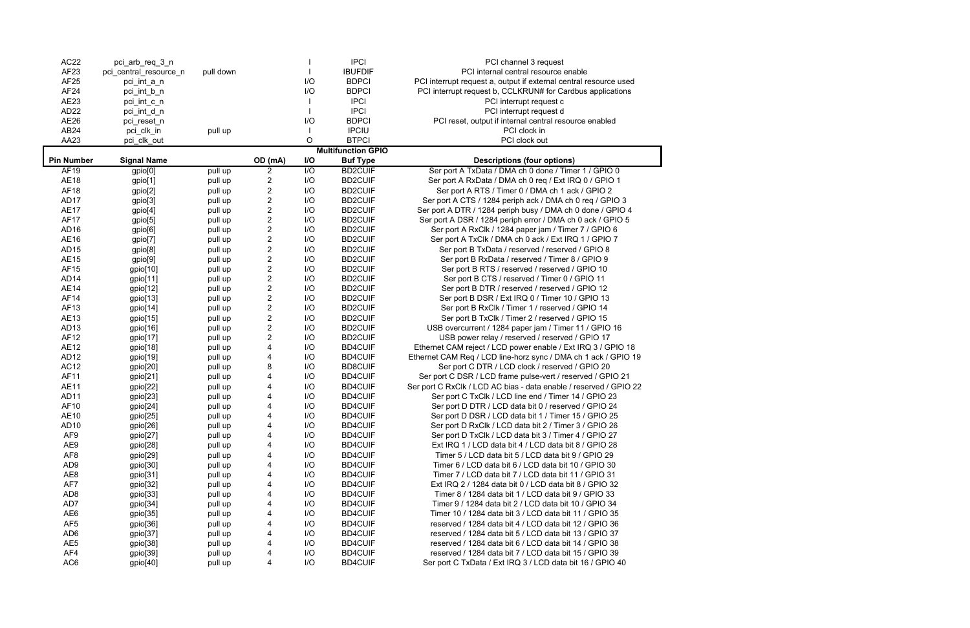| <b>AC22</b>       | pci_arb_req_3_n        |           |                                              |                  | <b>IPCI</b>               | PCI channel 3 request                                             |
|-------------------|------------------------|-----------|----------------------------------------------|------------------|---------------------------|-------------------------------------------------------------------|
| AF <sub>23</sub>  | pci_central_resource_n | pull down |                                              |                  | <b>IBUFDIF</b>            | PCI internal central resource enable                              |
| AF25              | pci_int_a_n            |           |                                              | I/O              | <b>BDPCI</b>              | PCI interrupt request a, output if external central resource used |
| AF <sub>24</sub>  | pci_int_b_n            |           |                                              | I/O              | <b>BDPCI</b>              | PCI interrupt request b, CCLKRUN# for Cardbus applications        |
| AE23              | pci_int_c_n            |           |                                              |                  | <b>IPCI</b>               | PCI interrupt request c                                           |
| AD <sub>22</sub>  | pci_int_d_n            |           |                                              |                  | <b>IPCI</b>               | PCI interrupt request d                                           |
| AE26              | pci_reset_n            |           |                                              | I/O              | <b>BDPCI</b>              | PCI reset, output if internal central resource enabled            |
| AB <sub>24</sub>  | pci_clk_in             | pull up   |                                              |                  | <b>IPCIU</b>              | PCI clock in                                                      |
| AA23              | pci_clk_out            |           |                                              | O                | <b>BTPCI</b>              | PCI clock out                                                     |
|                   |                        |           |                                              |                  | <b>Multifunction GPIO</b> |                                                                   |
| <b>Pin Number</b> | <b>Signal Name</b>     |           | OD (mA)                                      | <b>I/O</b>       | <b>Buf Type</b>           | <b>Descriptions (four options)</b>                                |
| <b>AF19</b>       | gpio <sup>[0]</sup>    | pull up   | $\overline{2}$                               | $\overline{1/O}$ | <b>BD2CUIF</b>            | Ser port A TxData / DMA ch 0 done / Timer 1 / GPIO 0              |
| <b>AE18</b>       | gpio[1]                | pull up   | $\overline{\mathbf{c}}$                      | I/O              | <b>BD2CUIF</b>            | Ser port A RxData / DMA ch 0 req / Ext IRQ 0 / GPIO 1             |
| <b>AF18</b>       | gpio[2]                | pull up   | 2                                            | I/O              | <b>BD2CUIF</b>            | Ser port A RTS / Timer 0 / DMA ch 1 ack / GPIO 2                  |
| AD17              | gpio[3]                | pull up   | $\overline{\mathbf{c}}$                      | I/O              | <b>BD2CUIF</b>            | Ser port A CTS / 1284 periph ack / DMA ch 0 req / GPIO 3          |
| <b>AE17</b>       | gpio[4]                | pull up   | $\overline{c}$                               | I/O              | <b>BD2CUIF</b>            | Ser port A DTR / 1284 periph busy / DMA ch 0 done / GPIO 4        |
| <b>AF17</b>       | gpio[5]                | pull up   | $\begin{array}{c}\n2 \\ 2 \\ 2\n\end{array}$ | I/O              | <b>BD2CUIF</b>            | Ser port A DSR / 1284 periph error / DMA ch 0 ack / GPIO 5        |
| AD <sub>16</sub>  | gpio[6]                | pull up   |                                              | I/O              | <b>BD2CUIF</b>            | Ser port A RxClk / 1284 paper jam / Timer 7 / GPIO 6              |
| AE16              | gpio[7]                | pull up   |                                              | I/O              | <b>BD2CUIF</b>            | Ser port A TxClk / DMA ch 0 ack / Ext IRQ 1 / GPIO 7              |
| AD15              | gpio[8]                | pull up   |                                              | I/O              | <b>BD2CUIF</b>            | Ser port B TxData / reserved / reserved / GPIO 8                  |
| AE15              | gpio[9]                | pull up   | $\overline{\mathbf{c}}$                      | I/O              | <b>BD2CUIF</b>            | Ser port B RxData / reserved / Timer 8 / GPIO 9                   |
| AF15              | gpio[10]               | pull up   | $\mathbf 2$                                  | I/O              | <b>BD2CUIF</b>            | Ser port B RTS / reserved / reserved / GPIO 10                    |
| AD <sub>14</sub>  | gpio[11]               | pull up   | $\mathbf 2$                                  | I/O              | <b>BD2CUIF</b>            | Ser port B CTS / reserved / Timer 0 / GPIO 11                     |
| <b>AE14</b>       | gpio[12]               | pull up   | $\mathbf 2$                                  | I/O              | <b>BD2CUIF</b>            | Ser port B DTR / reserved / reserved / GPIO 12                    |
| AF14              | gpio[13]               | pull up   | $\overline{\mathbf{c}}$                      | I/O              | <b>BD2CUIF</b>            | Ser port B DSR / Ext IRQ 0 / Timer 10 / GPIO 13                   |
| AF13              | gpio[14]               | pull up   | $\boldsymbol{2}$                             | I/O              | <b>BD2CUIF</b>            | Ser port B RxClk / Timer 1 / reserved / GPIO 14                   |
| AE13              | gpio[15]               | pull up   | $\overline{\mathbf{c}}$                      | I/O              | <b>BD2CUIF</b>            | Ser port B TxClk / Timer 2 / reserved / GPIO 15                   |
| AD <sub>13</sub>  | gpio[16]               | pull up   | $\boldsymbol{2}$                             | I/O              | <b>BD2CUIF</b>            | USB overcurrent / 1284 paper jam / Timer 11 / GPIO 16             |
| AF12              | gpio[17]               | pull up   | $\overline{c}$                               | I/O              | <b>BD2CUIF</b>            | USB power relay / reserved / reserved / GPIO 17                   |
| <b>AE12</b>       | gpio[18]               | pull up   | 4                                            | I/O              | <b>BD4CUIF</b>            | Ethernet CAM reject / LCD power enable / Ext IRQ 3 / GPIO 18      |
| AD12              | gpio[19]               | pull up   | 4                                            | I/O              | <b>BD4CUIF</b>            | Ethernet CAM Req / LCD line-horz sync / DMA ch 1 ack / GPIO 19    |
| AC <sub>12</sub>  | gpio[20]               | pull up   | 8                                            | I/O              | <b>BD8CUIF</b>            | Ser port C DTR / LCD clock / reserved / GPIO 20                   |
| AF11              | gpio[21]               | pull up   | 4                                            | I/O              | <b>BD4CUIF</b>            | Ser port C DSR / LCD frame pulse-vert / reserved / GPIO 21        |
| <b>AE11</b>       | gpio[22]               | pull up   | 4                                            | I/O              | <b>BD4CUIF</b>            | Ser port C RxClk / LCD AC bias - data enable / reserved / GPIO 22 |
| AD <sub>11</sub>  | gpio[23]               | pull up   | 4                                            | I/O              | <b>BD4CUIF</b>            | Ser port C TxClk / LCD line end / Timer 14 / GPIO 23              |
| AF10              | gpio[24]               | pull up   | 4                                            | I/O              | <b>BD4CUIF</b>            | Ser port D DTR / LCD data bit 0 / reserved / GPIO 24              |
| AE10              | gpio[25]               | pull up   | 4                                            | I/O              | <b>BD4CUIF</b>            | Ser port D DSR / LCD data bit 1 / Timer 15 / GPIO 25              |
| AD10              | gpio[26]               | pull up   | 4                                            | I/O              | <b>BD4CUIF</b>            | Ser port D RxClk / LCD data bit 2 / Timer 3 / GPIO 26             |
| AF9               | gpio[27]               | pull up   | 4                                            | I/O              | <b>BD4CUIF</b>            | Ser port D TxClk / LCD data bit 3 / Timer 4 / GPIO 27             |
| AE9               | gpio[28]               | pull up   | 4                                            | I/O              | <b>BD4CUIF</b>            | Ext IRQ 1 / LCD data bit 4 / LCD data bit 8 / GPIO 28             |
| AF <sub>8</sub>   | gpio[29]               | pull up   |                                              | I/O              | <b>BD4CUIF</b>            | Timer 5 / LCD data bit 5 / LCD data bit 9 / GPIO 29               |
| AD <sub>9</sub>   | gpio[30]               | pull up   |                                              | I/O              | <b>BD4CUIF</b>            | Timer 6 / LCD data bit 6 / LCD data bit 10 / GPIO 30              |
| AE8               | gpio[31]               | pull up   |                                              | I/O              | <b>BD4CUIF</b>            | Timer 7 / LCD data bit 7 / LCD data bit 11 / GPIO 31              |
| AF7               | gpio[32]               | pull up   |                                              | I/O              | <b>BD4CUIF</b>            | Ext IRQ 2 / 1284 data bit 0 / LCD data bit 8 / GPIO 32            |
| AD <sub>8</sub>   | gpio[33]               | pull up   |                                              | I/O              | <b>BD4CUIF</b>            | Timer 8 / 1284 data bit 1 / LCD data bit 9 / GPIO 33              |
| AD7               | gpio[34]               | pull up   |                                              | I/O              | <b>BD4CUIF</b>            | Timer 9 / 1284 data bit 2 / LCD data bit 10 / GPIO 34             |
| AE <sub>6</sub>   | gpi[35]                | pull up   | 4                                            | I/O              | <b>BD4CUIF</b>            | Timer 10 / 1284 data bit 3 / LCD data bit 11 / GPIO 35            |
| AF <sub>5</sub>   | gpio[36]               | pull up   | 4                                            | I/O              | <b>BD4CUIF</b>            | reserved / 1284 data bit 4 / LCD data bit 12 / GPIO 36            |
| AD <sub>6</sub>   | gpio[37]               | pull up   |                                              | I/O              | <b>BD4CUIF</b>            | reserved / 1284 data bit 5 / LCD data bit 13 / GPIO 37            |
| AE <sub>5</sub>   | gpio[38]               | pull up   | 4                                            | I/O              | <b>BD4CUIF</b>            | reserved / 1284 data bit 6 / LCD data bit 14 / GPIO 38            |
| AF4               | gpio[39]               | pull up   | 4                                            | I/O              | <b>BD4CUIF</b>            | reserved / 1284 data bit 7 / LCD data bit 15 / GPIO 39            |
| AC <sub>6</sub>   | gpio[40]               | pull up   | 4                                            | I/O              | <b>BD4CUIF</b>            | Ser port C TxData / Ext IRQ 3 / LCD data bit 16 / GPIO 40         |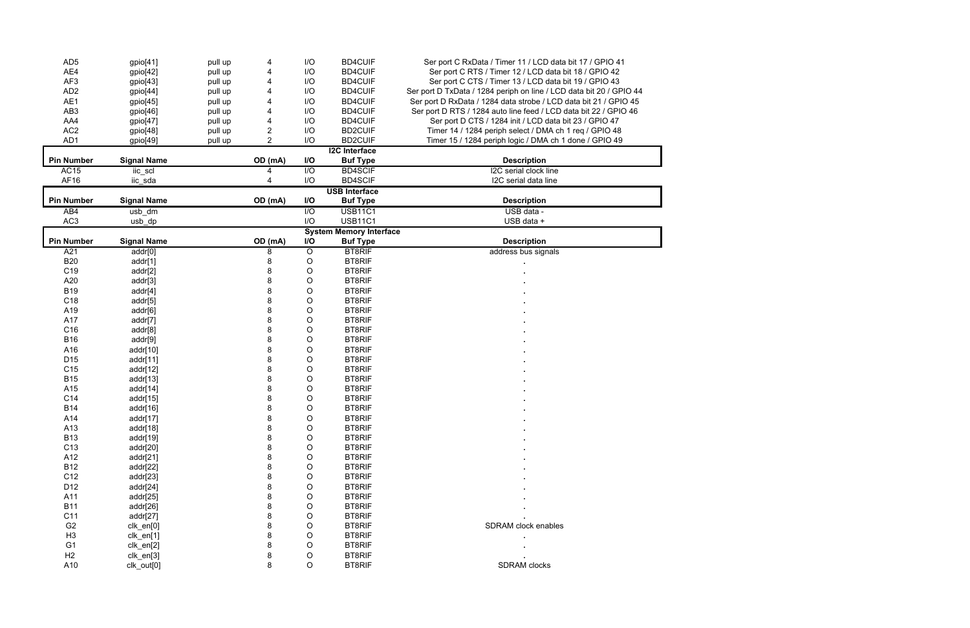| AD <sub>5</sub>   | gpio[41]           | pull up | 4                       | I/O              | <b>BD4CUIF</b>                 | Ser port C RxData / Timer 11 / LCD data bit 17 / GPIO 41            |
|-------------------|--------------------|---------|-------------------------|------------------|--------------------------------|---------------------------------------------------------------------|
| AE4               | gpio[42]           | pull up |                         | I/O              | <b>BD4CUIF</b>                 | Ser port C RTS / Timer 12 / LCD data bit 18 / GPIO 42               |
| AF3               | gpio[43]           | pull up |                         | I/O              | <b>BD4CUIF</b>                 | Ser port C CTS / Timer 13 / LCD data bit 19 / GPIO 43               |
| AD <sub>2</sub>   | gpio[44]           | pull up |                         | I/O              | <b>BD4CUIF</b>                 | Ser port D TxData / 1284 periph on line / LCD data bit 20 / GPIO 44 |
| AE1               | gpio[45]           | pull up |                         | I/O              | <b>BD4CUIF</b>                 | Ser port D RxData / 1284 data strobe / LCD data bit 21 / GPIO 45    |
| AB <sub>3</sub>   | gpio[46]           | pull up |                         | I/O              | <b>BD4CUIF</b>                 | Ser port D RTS / 1284 auto line feed / LCD data bit 22 / GPIO 46    |
| AA4               | gpio[47]           | pull up |                         | I/O              | <b>BD4CUIF</b>                 | Ser port D CTS / 1284 init / LCD data bit 23 / GPIO 47              |
| AC <sub>2</sub>   | gpio[48]           | pull up | $\overline{\mathbf{c}}$ | I/O              | <b>BD2CUIF</b>                 | Timer 14 / 1284 periph select / DMA ch 1 req / GPIO 48              |
| AD1               | gpio[49]           | pull up | $\overline{2}$          | I/O              | <b>BD2CUIF</b>                 | Timer 15 / 1284 periph logic / DMA ch 1 done / GPIO 49              |
|                   |                    |         |                         |                  | <b>I2C</b> Interface           |                                                                     |
| <b>Pin Number</b> | <b>Signal Name</b> |         | OD (mA)                 | I/O              | <b>Buf Type</b>                | <b>Description</b>                                                  |
| <b>AC15</b>       | iic_scl            |         |                         | $\overline{1/O}$ | <b>BD4SCIF</b>                 | I2C serial clock line                                               |
| AF16              | iic_sda            |         |                         | I/O              | <b>BD4SCIF</b>                 | I2C serial data line                                                |
|                   |                    |         |                         |                  | <b>USB Interface</b>           |                                                                     |
| <b>Pin Number</b> | <b>Signal Name</b> |         | OD (mA)                 | I/O              | <b>Buf Type</b>                | <b>Description</b>                                                  |
| AB4               | usb_dm             |         |                         | $\overline{1/O}$ | <b>USB11C1</b>                 | USB data -                                                          |
| AC <sub>3</sub>   | usb_dp             |         |                         | I/O              | <b>USB11C1</b>                 | USB data +                                                          |
|                   |                    |         |                         |                  | <b>System Memory Interface</b> |                                                                     |
| <b>Pin Number</b> | <b>Signal Name</b> |         | OD (mA)                 | I/O              | <b>Buf Type</b>                | <b>Description</b>                                                  |
| A21               | addr[0]            |         | 8                       | O                | <b>BT8RIF</b>                  | address bus signals                                                 |
| <b>B20</b>        | addr[1]            |         | 8                       | O                | <b>BT8RIF</b>                  |                                                                     |
| C <sub>19</sub>   | addr[2]            |         | 8                       | O                | <b>BT8RIF</b>                  |                                                                     |
| A20               | addr[3]            |         | 8                       | O                | <b>BT8RIF</b>                  |                                                                     |
| <b>B19</b>        | addr[4]            |         | 8                       | O                | <b>BT8RIF</b>                  |                                                                     |
| C18               | addr[5]            |         |                         | O                | <b>BT8RIF</b>                  |                                                                     |
| A19               | addr[6]            |         |                         | O                | <b>BT8RIF</b>                  |                                                                     |
| A17               | addr[7]            |         |                         | O                | <b>BT8RIF</b>                  |                                                                     |
| C16               | addr[8]            |         |                         | O                | <b>BT8RIF</b>                  |                                                                     |
| <b>B16</b>        | addr[9]            |         |                         | O                | <b>BT8RIF</b>                  |                                                                     |
| A16               | addr[10]           |         |                         | O                | <b>BT8RIF</b>                  |                                                                     |
| D <sub>15</sub>   | addr[11]           |         |                         | O                | <b>BT8RIF</b>                  |                                                                     |
| C <sub>15</sub>   | addr[12]           |         |                         | O                | BT8RIF                         |                                                                     |
| <b>B15</b>        | addr[13]           |         |                         | O                | <b>BT8RIF</b>                  |                                                                     |
| A15               | addr[14]           |         |                         | O                | <b>BT8RIF</b>                  |                                                                     |
| C14               | addr[15]           |         |                         | O                | BT8RIF                         |                                                                     |
| <b>B14</b>        | addr[16]           |         |                         | O                | <b>BT8RIF</b>                  |                                                                     |
| A14               | addr[17]           |         | 8                       | $\circ$          | <b>BT8RIF</b>                  |                                                                     |
| A13               | addr[18]           |         |                         | O                | <b>BT8RIF</b>                  |                                                                     |
| <b>B13</b>        | addr[19]           |         |                         | O                | <b>BT8RIF</b>                  |                                                                     |
| C <sub>13</sub>   | addr[20]           |         |                         | O                | <b>BT8RIF</b>                  |                                                                     |
| A12               | addr[21]           |         |                         | O                | <b>BT8RIF</b>                  |                                                                     |
| <b>B12</b>        | addr[22]           |         |                         | O                | <b>BT8RIF</b>                  |                                                                     |
| C <sub>12</sub>   | addr[23]           |         |                         | O                | <b>BT8RIF</b>                  |                                                                     |
| D12               | addr[24]           |         |                         | O                | <b>BT8RIF</b>                  |                                                                     |
| A11               | addr[25]           |         |                         | O                | <b>BT8RIF</b>                  |                                                                     |
| <b>B11</b>        | addr[26]           |         |                         | $\circ$          | <b>BT8RIF</b>                  |                                                                     |
| C11               | addr[27]           |         |                         | $\mathsf O$      | <b>BT8RIF</b>                  |                                                                     |
| G <sub>2</sub>    | clk_en[0]          |         |                         | $\mathsf O$      | <b>BT8RIF</b>                  | SDRAM clock enables                                                 |
| H <sub>3</sub>    | clk_en[1]          |         |                         | O                | <b>BT8RIF</b>                  |                                                                     |
| G <sub>1</sub>    | clk_en[2]          |         |                         | $\circ$          | <b>BT8RIF</b>                  |                                                                     |
| H2                | clk_en[3]          |         |                         | $\circ$          | <b>BT8RIF</b>                  |                                                                     |
| A10               | clk_out[0]         |         | 8                       | $\mathsf O$      | <b>BT8RIF</b>                  | <b>SDRAM</b> clocks                                                 |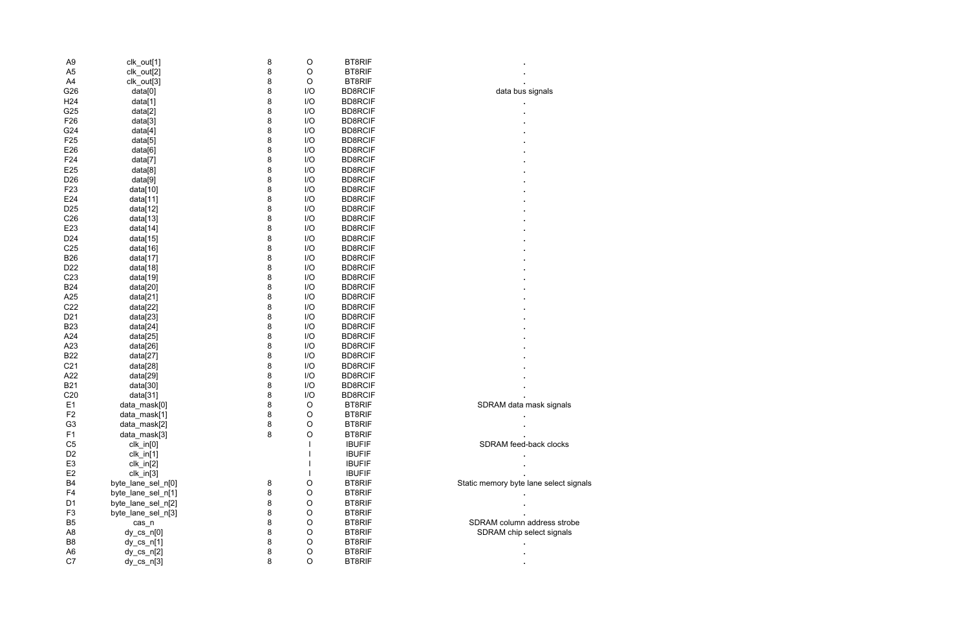| A <sub>9</sub>  | clk_out[1]         | 8 | O          | <b>BT8RIF</b>  |                                        |
|-----------------|--------------------|---|------------|----------------|----------------------------------------|
| A <sub>5</sub>  | clk_out[2]         | 8 | O          | <b>BT8RIF</b>  |                                        |
| A4              | clk_out[3]         | 8 | O          | <b>BT8RIF</b>  |                                        |
| G26             | data[0]            | 8 | I/O        | <b>BD8RCIF</b> | data bus signals                       |
| H <sub>24</sub> | data[1]            | 8 | I/O        | <b>BD8RCIF</b> |                                        |
| G25             | data[2]            | 8 | I/O        | <b>BD8RCIF</b> |                                        |
| F <sub>26</sub> | data[3]            | 8 | I/O        | <b>BD8RCIF</b> |                                        |
| G24             | data[4]            | 8 | I/O        | <b>BD8RCIF</b> |                                        |
| F <sub>25</sub> | data[5]            | 8 | I/O        | <b>BD8RCIF</b> |                                        |
| E26             | data[6]            | 8 | I/O        | <b>BD8RCIF</b> |                                        |
| F24             | data[7]            | 8 | I/O        | <b>BD8RCIF</b> |                                        |
| E25             | data[8]            | 8 | I/O        | <b>BD8RCIF</b> |                                        |
| D <sub>26</sub> | data[9]            | 8 | I/O        | <b>BD8RCIF</b> |                                        |
| F <sub>23</sub> | data[10]           | 8 | I/O        | <b>BD8RCIF</b> |                                        |
| E24             | data[11]           | 8 | I/O        | <b>BD8RCIF</b> |                                        |
| D <sub>25</sub> | data[12]           | 8 | I/O        | <b>BD8RCIF</b> |                                        |
| C <sub>26</sub> | data[13]           | 8 | I/O        | <b>BD8RCIF</b> |                                        |
| E23             | data[14]           | 8 | I/O        | <b>BD8RCIF</b> |                                        |
| D <sub>24</sub> | data[15]           | 8 | I/O        | <b>BD8RCIF</b> |                                        |
| C <sub>25</sub> | data[16]           | 8 | I/O        | <b>BD8RCIF</b> |                                        |
| <b>B26</b>      | data[17]           | 8 | I/O        | <b>BD8RCIF</b> |                                        |
| D <sub>22</sub> | data[18]           | 8 | I/O        | <b>BD8RCIF</b> |                                        |
| C <sub>23</sub> | data[19]           | 8 | I/O        | <b>BD8RCIF</b> |                                        |
| <b>B24</b>      | data[20]           | 8 | I/O        | <b>BD8RCIF</b> |                                        |
| A25             | data[21]           | 8 | I/O        | <b>BD8RCIF</b> |                                        |
| C <sub>22</sub> | data[22]           | 8 | I/O        | <b>BD8RCIF</b> |                                        |
| D <sub>21</sub> | data[23]           | 8 | I/O        | <b>BD8RCIF</b> |                                        |
| <b>B23</b>      | data[24]           | 8 | I/O        | <b>BD8RCIF</b> |                                        |
| A24             | data[25]           | 8 | I/O        | <b>BD8RCIF</b> |                                        |
| A23             | data[26]           | 8 | I/O        | <b>BD8RCIF</b> |                                        |
| <b>B22</b>      | data[27]           | 8 | I/O        | <b>BD8RCIF</b> |                                        |
| C <sub>21</sub> | data[28]           | 8 | I/O        | <b>BD8RCIF</b> |                                        |
| A22             | data[29]           | 8 | I/O        | <b>BD8RCIF</b> |                                        |
| <b>B21</b>      | data[30]           | 8 | I/O        | <b>BD8RCIF</b> |                                        |
| C <sub>20</sub> | data[31]           | 8 | 1/O        | <b>BD8RCIF</b> |                                        |
| E <sub>1</sub>  | data_mask[0]       | 8 | O          | <b>BT8RIF</b>  | SDRAM data mask signals                |
| F <sub>2</sub>  | data_mask[1]       | 8 | $\bigcirc$ | <b>BT8RIF</b>  |                                        |
| G <sub>3</sub>  | data_mask[2]       | 8 | $\circ$    | <b>BT8RIF</b>  |                                        |
| F1              | data_mask[3]       | 8 | O          | <b>BT8RIF</b>  |                                        |
| C <sub>5</sub>  | $clk_in[0]$        |   |            | <b>IBUFIF</b>  | SDRAM feed-back clocks                 |
| D <sub>2</sub>  | $clk_in[1]$        |   |            | <b>IBUFIF</b>  |                                        |
| E <sub>3</sub>  | $clk_in[2]$        |   |            | <b>IBUFIF</b>  |                                        |
| E <sub>2</sub>  | $clk_in[3]$        |   |            | <b>IBUFIF</b>  |                                        |
| <b>B4</b>       | byte_lane_sel_n[0] | 8 | O          | <b>BT8RIF</b>  | Static memory byte lane select signals |
| F4              | byte_lane_sel_n[1] | 8 | O          | <b>BT8RIF</b>  |                                        |
| D <sub>1</sub>  | byte_lane_sel_n[2] | 8 | O          | <b>BT8RIF</b>  |                                        |
| F <sub>3</sub>  | byte_lane_sel_n[3] | 8 | O          | <b>BT8RIF</b>  |                                        |
| B <sub>5</sub>  | cas_n              | 8 | O          | <b>BT8RIF</b>  | SDRAM column address strobe            |
| A <sub>8</sub>  | $dy_c s_n[0]$      | 8 | O          | <b>BT8RIF</b>  | SDRAM chip select signals              |
| B8              | $dy_c s_n[1]$      | 8 | $\circ$    | <b>BT8RIF</b>  |                                        |
| A <sub>6</sub>  | $dy_c s_n[2]$      | 8 | $\circ$    | <b>BT8RIF</b>  |                                        |
| C7              | $dy_c s_n[3]$      | 8 | $\circ$    | <b>BT8RIF</b>  |                                        |
|                 |                    |   |            |                |                                        |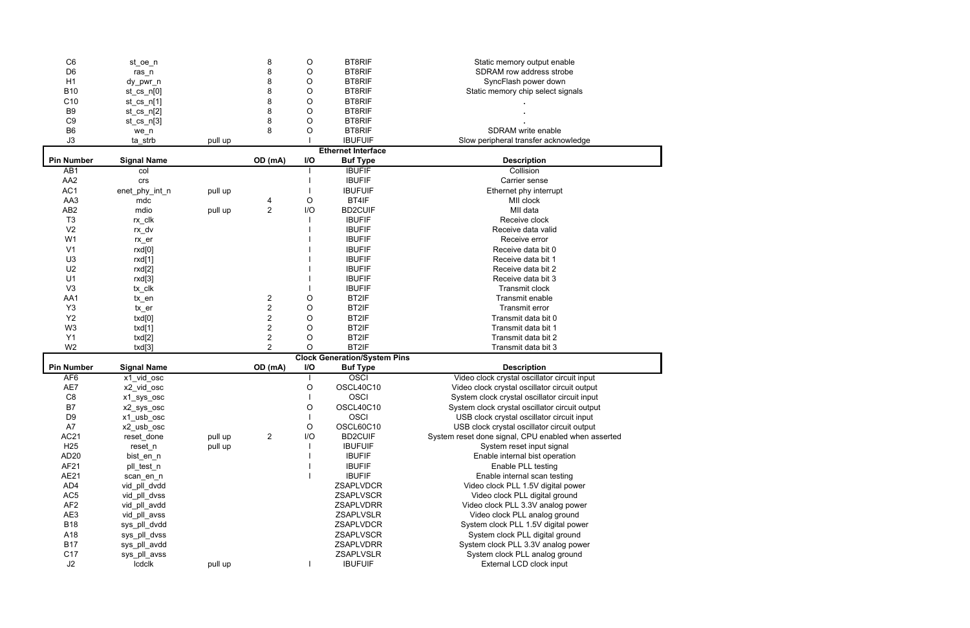| C <sub>6</sub>    | st_oe_n            |         | 8                | O           | <b>BT8RIF</b>                       | Static memory output enable                         |
|-------------------|--------------------|---------|------------------|-------------|-------------------------------------|-----------------------------------------------------|
| D <sub>6</sub>    | $ras_n$            |         | 8                | O           | <b>BT8RIF</b>                       | SDRAM row address strobe                            |
| H1                | dy_pwr_n           |         | 8                | O           | <b>BT8RIF</b>                       | SyncFlash power down                                |
| <b>B10</b>        | $st_c$ cs_n[0]     |         | 8                | O           | <b>BT8RIF</b>                       | Static memory chip select signals                   |
| C10               | $st_css_n[1]$      |         | 8                | O           | <b>BT8RIF</b>                       |                                                     |
| B <sub>9</sub>    | $st_cs_n[2]$       |         | 8                | O           | <b>BT8RIF</b>                       |                                                     |
| C <sub>9</sub>    | $st_c$ cs_n[3]     |         | 8                | O           | <b>BT8RIF</b>                       |                                                     |
| B <sub>6</sub>    |                    |         | 8                | O           | <b>BT8RIF</b>                       | SDRAM write enable                                  |
| J3                | we_n               |         |                  |             | <b>IBUFUIF</b>                      |                                                     |
|                   | ta_strb            | pull up |                  |             |                                     | Slow peripheral transfer acknowledge                |
|                   |                    |         |                  |             | <b>Ethernet Interface</b>           |                                                     |
| <b>Pin Number</b> | <b>Signal Name</b> |         | OD (mA)          | I/O         | <b>Buf Type</b>                     | <b>Description</b>                                  |
| AB <sub>1</sub>   | col                |         |                  |             | <b>IBUFIF</b>                       | Collision                                           |
| AA <sub>2</sub>   | crs                |         |                  |             | <b>IBUFIF</b>                       | Carrier sense                                       |
| AC1               | enet_phy_int_n     | pull up |                  |             | <b>IBUFUIF</b>                      | Ethernet phy interrupt                              |
| AA3               | mdc                |         | 4                | O           | BT4IF                               | MII clock                                           |
| AB <sub>2</sub>   | mdio               | pull up | $\overline{2}$   | I/O         | <b>BD2CUIF</b>                      | MII data                                            |
| T <sub>3</sub>    | rx_clk             |         |                  |             | <b>IBUFIF</b>                       | Receive clock                                       |
| V <sub>2</sub>    | rx_dv              |         |                  |             | <b>IBUFIF</b>                       | Receive data valid                                  |
| W <sub>1</sub>    | $rx\_er$           |         |                  |             | <b>IBUFIF</b>                       | Receive error                                       |
| V <sub>1</sub>    | rxd[0]             |         |                  |             | <b>IBUFIF</b>                       | Receive data bit 0                                  |
| U <sub>3</sub>    | rxd[1]             |         |                  |             | <b>IBUFIF</b>                       | Receive data bit 1                                  |
| U <sub>2</sub>    | rxd[2]             |         |                  |             | <b>IBUFIF</b>                       | Receive data bit 2                                  |
| U1                |                    |         |                  |             | <b>IBUFIF</b>                       | Receive data bit 3                                  |
| V <sub>3</sub>    | rxd[3]             |         |                  |             | <b>IBUFIF</b>                       |                                                     |
|                   | tx_clk             |         |                  |             |                                     | Transmit clock                                      |
| AA1               | tx_en              |         | 2                | O           | BT2IF                               | Transmit enable                                     |
| Y <sub>3</sub>    | tx_er              |         | $\mathbf 2$      | O           | BT2IF                               | <b>Transmit error</b>                               |
| <b>Y2</b>         | txd[0]             |         | $\mathbf 2$      | O           | BT2IF                               | Transmit data bit 0                                 |
| W <sub>3</sub>    | txd[1]             |         | $\boldsymbol{2}$ | O           | BT2IF                               | Transmit data bit 1                                 |
| Y1                | txd[2]             |         | $\overline{c}$   | O           | BT2IF                               | Transmit data bit 2                                 |
| W <sub>2</sub>    | txd[3]             |         | $\overline{2}$   | $\circ$     | BT2IF                               | Transmit data bit 3                                 |
|                   |                    |         |                  |             | <b>Clock Generation/System Pins</b> |                                                     |
| <b>Pin Number</b> | <b>Signal Name</b> |         | OD (mA)          | I/O         | <b>Buf Type</b>                     | <b>Description</b>                                  |
| AF <sub>6</sub>   | x1_vid_osc         |         |                  |             | <b>OSCI</b>                         | Video clock crystal oscillator circuit input        |
| AE7               | x2_vid_osc         |         |                  | $\mathsf O$ | OSCL40C10                           | Video clock crystal oscillator circuit output       |
| C <sub>8</sub>    | x1_sys_osc         |         |                  |             | <b>OSCI</b>                         | System clock crystal oscillator circuit input       |
| B7                | x2_sys_osc         |         |                  | O           | OSCL40C10                           | System clock crystal oscillator circuit output      |
| D <sub>9</sub>    | x1_usb_osc         |         |                  |             | <b>OSCI</b>                         | USB clock crystal oscillator circuit input          |
| A7                | x2_usb_osc         |         |                  | O           | OSCL60C10                           | USB clock crystal oscillator circuit output         |
| AC21              | reset_done         | pull up | $\overline{2}$   | I/O         | <b>BD2CUIF</b>                      | System reset done signal, CPU enabled when asserted |
| H <sub>25</sub>   | reset_n            | pull up |                  |             | <b>IBUFUIF</b>                      | System reset input signal                           |
| AD20              | bist_en_n          |         |                  |             | <b>IBUFIF</b>                       | Enable internal bist operation                      |
| AF21              |                    |         |                  |             | <b>IBUFIF</b>                       | Enable PLL testing                                  |
|                   | pll_test_n         |         |                  |             |                                     |                                                     |
| <b>AE21</b>       | scan_en_n          |         |                  |             | <b>IBUFIF</b>                       | Enable internal scan testing                        |
| AD4               | vid_pll_dvdd       |         |                  |             | ZSAPLVDCR                           | Video clock PLL 1.5V digital power                  |
| AC <sub>5</sub>   | vid_pll_dvss       |         |                  |             | <b>ZSAPLVSCR</b>                    | Video clock PLL digital ground                      |
| AF <sub>2</sub>   | vid_pll_avdd       |         |                  |             | ZSAPLVDRR                           | Video clock PLL 3.3V analog power                   |
| AE3               | vid_pll_avss       |         |                  |             | <b>ZSAPLVSLR</b>                    | Video clock PLL analog ground                       |
| <b>B18</b>        | sys_pll_dvdd       |         |                  |             | ZSAPLVDCR                           | System clock PLL 1.5V digital power                 |
| A18               | sys_pll_dvss       |         |                  |             | ZSAPLVSCR                           | System clock PLL digital ground                     |
| <b>B17</b>        | sys_pll_avdd       |         |                  |             | ZSAPLVDRR                           | System clock PLL 3.3V analog power                  |
| C <sub>17</sub>   | sys_pll_avss       |         |                  |             | <b>ZSAPLVSLR</b>                    | System clock PLL analog ground                      |
|                   |                    |         |                  |             |                                     |                                                     |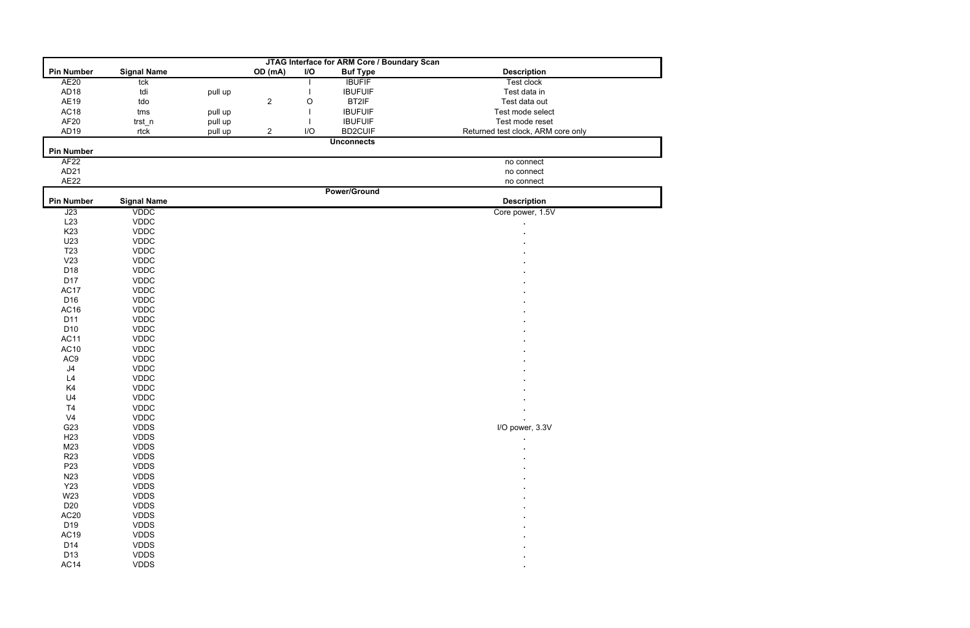| JTAG Interface for ARM Core / Boundary Scan |                    |         |                |     |                     |                                    |  |  |
|---------------------------------------------|--------------------|---------|----------------|-----|---------------------|------------------------------------|--|--|
| <b>Pin Number</b>                           | <b>Signal Name</b> |         | OD (mA)        | I/O | <b>Buf Type</b>     | <b>Description</b>                 |  |  |
| <b>AE20</b>                                 | tck                |         |                |     | <b>IBUFIF</b>       | <b>Test clock</b>                  |  |  |
| AD <sub>18</sub>                            | tdi                | pull up |                |     | <b>IBUFUIF</b>      | Test data in                       |  |  |
| AE19                                        | tdo                |         | $\mathbf{2}$   | O   | BT2IF               | Test data out                      |  |  |
| AC18                                        | tms                | pull up |                |     | <b>IBUFUIF</b>      | Test mode select                   |  |  |
| AF <sub>20</sub>                            | trst_n             | pull up |                |     | <b>IBUFUIF</b>      | Test mode reset                    |  |  |
| AD <sub>19</sub>                            | rtck               | pull up | $\overline{c}$ | I/O | <b>BD2CUIF</b>      | Returned test clock, ARM core only |  |  |
|                                             |                    |         |                |     | <b>Unconnects</b>   |                                    |  |  |
| <b>Pin Number</b>                           |                    |         |                |     |                     |                                    |  |  |
| AF <sub>22</sub>                            |                    |         |                |     |                     | no connect                         |  |  |
| AD21                                        |                    |         |                |     |                     | no connect                         |  |  |
| <b>AE22</b>                                 |                    |         |                |     |                     | no connect                         |  |  |
|                                             |                    |         |                |     | <b>Power/Ground</b> |                                    |  |  |
| <b>Pin Number</b>                           | <b>Signal Name</b> |         |                |     |                     | <b>Description</b>                 |  |  |
| J23                                         | <b>VDDC</b>        |         |                |     |                     | Core power, 1.5V                   |  |  |
| L23                                         | <b>VDDC</b>        |         |                |     |                     |                                    |  |  |
| K <sub>23</sub>                             | <b>VDDC</b>        |         |                |     |                     |                                    |  |  |
| U23                                         | <b>VDDC</b>        |         |                |     |                     |                                    |  |  |
| T <sub>23</sub>                             | <b>VDDC</b>        |         |                |     |                     |                                    |  |  |
| V23                                         | <b>VDDC</b>        |         |                |     |                     |                                    |  |  |
| D18                                         | <b>VDDC</b>        |         |                |     |                     |                                    |  |  |
| D17                                         | <b>VDDC</b>        |         |                |     |                     |                                    |  |  |
| AC17                                        | <b>VDDC</b>        |         |                |     |                     |                                    |  |  |
| D <sub>16</sub>                             | <b>VDDC</b>        |         |                |     |                     |                                    |  |  |
| AC16                                        | <b>VDDC</b>        |         |                |     |                     |                                    |  |  |
| D11                                         | <b>VDDC</b>        |         |                |     |                     |                                    |  |  |
| D <sub>10</sub>                             | <b>VDDC</b>        |         |                |     |                     |                                    |  |  |
| <b>AC11</b>                                 | <b>VDDC</b>        |         |                |     |                     |                                    |  |  |
| AC10                                        | <b>VDDC</b>        |         |                |     |                     |                                    |  |  |
| AC9                                         | <b>VDDC</b>        |         |                |     |                     |                                    |  |  |
| $\sf J4$                                    | <b>VDDC</b>        |         |                |     |                     |                                    |  |  |
| L4                                          | <b>VDDC</b>        |         |                |     |                     |                                    |  |  |
| K4                                          | <b>VDDC</b>        |         |                |     |                     |                                    |  |  |
| U <sub>4</sub>                              | <b>VDDC</b>        |         |                |     |                     |                                    |  |  |
| T <sub>4</sub>                              | <b>VDDC</b>        |         |                |     |                     |                                    |  |  |
| V <sub>4</sub>                              | <b>VDDC</b>        |         |                |     |                     |                                    |  |  |
| G23                                         | <b>VDDS</b>        |         |                |     |                     | I/O power, 3.3V                    |  |  |
| H <sub>23</sub>                             | <b>VDDS</b>        |         |                |     |                     |                                    |  |  |
| M23                                         | <b>VDDS</b>        |         |                |     |                     |                                    |  |  |
| <b>R23</b>                                  | <b>VDDS</b>        |         |                |     |                     |                                    |  |  |
| P <sub>23</sub>                             | <b>VDDS</b>        |         |                |     |                     |                                    |  |  |
| N23                                         | <b>VDDS</b>        |         |                |     |                     |                                    |  |  |
| <b>Y23</b>                                  | <b>VDDS</b>        |         |                |     |                     |                                    |  |  |
| W23                                         | <b>VDDS</b>        |         |                |     |                     |                                    |  |  |
| D <sub>20</sub>                             | <b>VDDS</b>        |         |                |     |                     |                                    |  |  |
| AC <sub>20</sub>                            | <b>VDDS</b>        |         |                |     |                     |                                    |  |  |
| D <sub>19</sub>                             | <b>VDDS</b>        |         |                |     |                     |                                    |  |  |
| AC19                                        | <b>VDDS</b>        |         |                |     |                     |                                    |  |  |
| D14                                         | <b>VDDS</b>        |         |                |     |                     |                                    |  |  |
| D13                                         | <b>VDDS</b>        |         |                |     |                     |                                    |  |  |
| AC14                                        | <b>VDDS</b>        |         |                |     |                     | $\blacksquare$                     |  |  |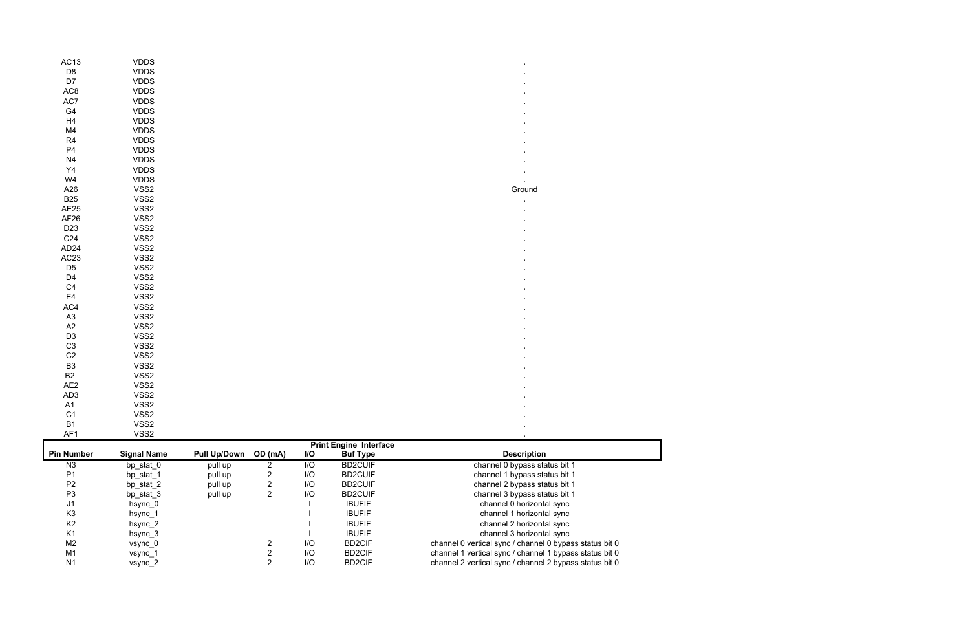| <b>VDDS</b><br><b>VDDS</b><br><b>VDDS</b><br><b>VDDS</b><br><b>VDDS</b><br><b>VDDS</b><br><b>VDDS</b><br><b>VDDS</b><br><b>VDDS</b><br><b>VDDS</b><br><b>VDDS</b><br><b>VDDS</b><br><b>VDDS</b><br>VSS2<br>VSS2<br>VSS2<br>VSS2<br>VSS2<br>VSS2<br>VSS2<br>VSS2<br>VSS2<br>VSS2<br>VSS2<br>VSS2<br>VSS2<br>VSS2<br>VSS2<br>VSS2<br>VSS2<br>VSS2<br>VSS2<br>VSS2<br>VSS2<br>VSS2<br>VSS2<br>VSS2<br>VSS2<br>VSS2                                                                                                                                                           |                  |  |
|---------------------------------------------------------------------------------------------------------------------------------------------------------------------------------------------------------------------------------------------------------------------------------------------------------------------------------------------------------------------------------------------------------------------------------------------------------------------------------------------------------------------------------------------------------------------------|------------------|--|
| D <sub>8</sub><br>D7<br>AC <sub>8</sub><br>AC7<br>${\sf G4}$<br>H4<br>M4<br>$\mathsf{R}4$<br>P4<br>${\sf N}4$<br>$\mathsf{Y}4$<br>W4<br>Ground<br>A26<br><b>B25</b><br>$\blacksquare$<br>AE25<br>AF <sub>26</sub><br>D <sub>23</sub><br>C <sub>24</sub><br>AD <sub>24</sub><br>AC <sub>23</sub><br>D <sub>5</sub><br>D4<br>$\mathbb{C}4$<br>E <sub>4</sub><br>AC4<br>$\mathsf{A}3$<br>$\mathsf{A2}$<br>D <sub>3</sub><br>$\mbox{C3}$<br>$\mbox{C2}$<br>${\sf B}3$<br>$\mathsf{B2}$<br>AE <sub>2</sub><br>AD <sub>3</sub><br>A1<br>C <sub>1</sub><br>B <sub>1</sub><br>AF1 | AC <sub>13</sub> |  |
|                                                                                                                                                                                                                                                                                                                                                                                                                                                                                                                                                                           |                  |  |
|                                                                                                                                                                                                                                                                                                                                                                                                                                                                                                                                                                           |                  |  |
|                                                                                                                                                                                                                                                                                                                                                                                                                                                                                                                                                                           |                  |  |
|                                                                                                                                                                                                                                                                                                                                                                                                                                                                                                                                                                           |                  |  |
|                                                                                                                                                                                                                                                                                                                                                                                                                                                                                                                                                                           |                  |  |
|                                                                                                                                                                                                                                                                                                                                                                                                                                                                                                                                                                           |                  |  |
|                                                                                                                                                                                                                                                                                                                                                                                                                                                                                                                                                                           |                  |  |
|                                                                                                                                                                                                                                                                                                                                                                                                                                                                                                                                                                           |                  |  |
|                                                                                                                                                                                                                                                                                                                                                                                                                                                                                                                                                                           |                  |  |
|                                                                                                                                                                                                                                                                                                                                                                                                                                                                                                                                                                           |                  |  |
|                                                                                                                                                                                                                                                                                                                                                                                                                                                                                                                                                                           |                  |  |
|                                                                                                                                                                                                                                                                                                                                                                                                                                                                                                                                                                           |                  |  |
|                                                                                                                                                                                                                                                                                                                                                                                                                                                                                                                                                                           |                  |  |
|                                                                                                                                                                                                                                                                                                                                                                                                                                                                                                                                                                           |                  |  |
|                                                                                                                                                                                                                                                                                                                                                                                                                                                                                                                                                                           |                  |  |
|                                                                                                                                                                                                                                                                                                                                                                                                                                                                                                                                                                           |                  |  |
|                                                                                                                                                                                                                                                                                                                                                                                                                                                                                                                                                                           |                  |  |
|                                                                                                                                                                                                                                                                                                                                                                                                                                                                                                                                                                           |                  |  |
|                                                                                                                                                                                                                                                                                                                                                                                                                                                                                                                                                                           |                  |  |
|                                                                                                                                                                                                                                                                                                                                                                                                                                                                                                                                                                           |                  |  |
|                                                                                                                                                                                                                                                                                                                                                                                                                                                                                                                                                                           |                  |  |
|                                                                                                                                                                                                                                                                                                                                                                                                                                                                                                                                                                           |                  |  |
|                                                                                                                                                                                                                                                                                                                                                                                                                                                                                                                                                                           |                  |  |
|                                                                                                                                                                                                                                                                                                                                                                                                                                                                                                                                                                           |                  |  |
|                                                                                                                                                                                                                                                                                                                                                                                                                                                                                                                                                                           |                  |  |
|                                                                                                                                                                                                                                                                                                                                                                                                                                                                                                                                                                           |                  |  |
|                                                                                                                                                                                                                                                                                                                                                                                                                                                                                                                                                                           |                  |  |
|                                                                                                                                                                                                                                                                                                                                                                                                                                                                                                                                                                           |                  |  |
|                                                                                                                                                                                                                                                                                                                                                                                                                                                                                                                                                                           |                  |  |
|                                                                                                                                                                                                                                                                                                                                                                                                                                                                                                                                                                           |                  |  |
|                                                                                                                                                                                                                                                                                                                                                                                                                                                                                                                                                                           |                  |  |
|                                                                                                                                                                                                                                                                                                                                                                                                                                                                                                                                                                           |                  |  |
|                                                                                                                                                                                                                                                                                                                                                                                                                                                                                                                                                                           |                  |  |
|                                                                                                                                                                                                                                                                                                                                                                                                                                                                                                                                                                           |                  |  |
|                                                                                                                                                                                                                                                                                                                                                                                                                                                                                                                                                                           |                  |  |
|                                                                                                                                                                                                                                                                                                                                                                                                                                                                                                                                                                           |                  |  |
|                                                                                                                                                                                                                                                                                                                                                                                                                                                                                                                                                                           |                  |  |
|                                                                                                                                                                                                                                                                                                                                                                                                                                                                                                                                                                           |                  |  |

| <b>Print Engine Interface</b> |                    |                     |         |            |                 |                                                         |
|-------------------------------|--------------------|---------------------|---------|------------|-----------------|---------------------------------------------------------|
| <b>Pin Number</b>             | <b>Signal Name</b> | <b>Pull Up/Down</b> | OD (mA) | <b>I/O</b> | <b>Buf Type</b> | <b>Description</b>                                      |
| N3                            | bp stat 0          | pull up             |         | $UO$       | <b>BD2CUIF</b>  | channel 0 bypass status bit 1                           |
| P1                            | bp_stat_1          | pull up             |         | $II$       | <b>BD2CUIF</b>  | channel 1 bypass status bit 1                           |
| P <sub>2</sub>                | bp_stat_2          | pull up             |         | 1/O        | <b>BD2CUIF</b>  | channel 2 bypass status bit 1                           |
| P <sub>3</sub>                | bp_stat_3          | pull up             | 2       | 1/O        | <b>BD2CUIF</b>  | channel 3 bypass status bit 1                           |
| J1                            | hsync 0            |                     |         |            | <b>IBUFIF</b>   | channel 0 horizontal sync                               |
| K <sub>3</sub>                | hsync_1            |                     |         |            | <b>IBUFIF</b>   | channel 1 horizontal sync                               |
| K <sub>2</sub>                | hsync 2            |                     |         |            | <b>IBUFIF</b>   | channel 2 horizontal sync                               |
| K <sub>1</sub>                | $h$ sync $_3$      |                     |         |            | <b>IBUFIF</b>   | channel 3 horizontal sync                               |
| M <sub>2</sub>                | vsync 0            |                     |         | I/O        | <b>BD2CIF</b>   | channel 0 vertical sync / channel 0 bypass status bit 0 |
| M <sub>1</sub>                | vsync_1            |                     |         | I/O        | <b>BD2CIF</b>   | channel 1 vertical sync / channel 1 bypass status bit 0 |
| N <sub>1</sub>                | vsync 2            |                     |         | I/O        | <b>BD2CIF</b>   | channel 2 vertical sync / channel 2 bypass status bit 0 |